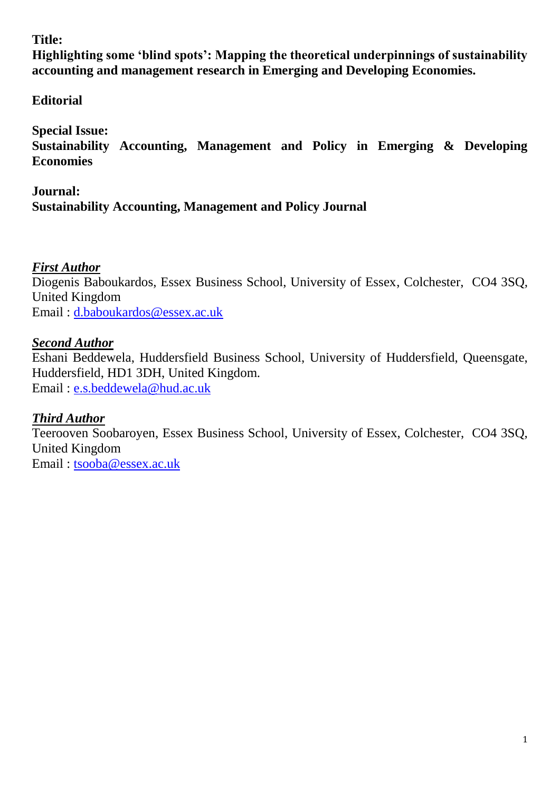## **Title:**

**Highlighting some 'blind spots': Mapping the theoretical underpinnings of sustainability accounting and management research in Emerging and Developing Economies.**

# **Editorial**

**Special Issue:** 

**Sustainability Accounting, Management and Policy in Emerging & Developing Economies**

# **Journal: Sustainability Accounting, Management and Policy Journal**

# *First Author*

Diogenis Baboukardos, Essex Business School, University of Essex, Colchester, CO4 3SQ, United Kingdom Email : [d.baboukardos@essex.ac.uk](mailto:d.baboukardos@essex.ac.uk)

## *Second Author*

Eshani Beddewela, Huddersfield Business School, University of Huddersfield, Queensgate, Huddersfield, HD1 3DH, United Kingdom. Email : [e.s.beddewela@hud.ac.uk](mailto:e.s.beddewela@hud.ac.uk)

## *Third Author*

Teerooven Soobaroyen, Essex Business School, University of Essex, Colchester, CO4 3SQ, United Kingdom Email : [tsooba@essex.ac.uk](mailto:tsooba@essex.ac.uk)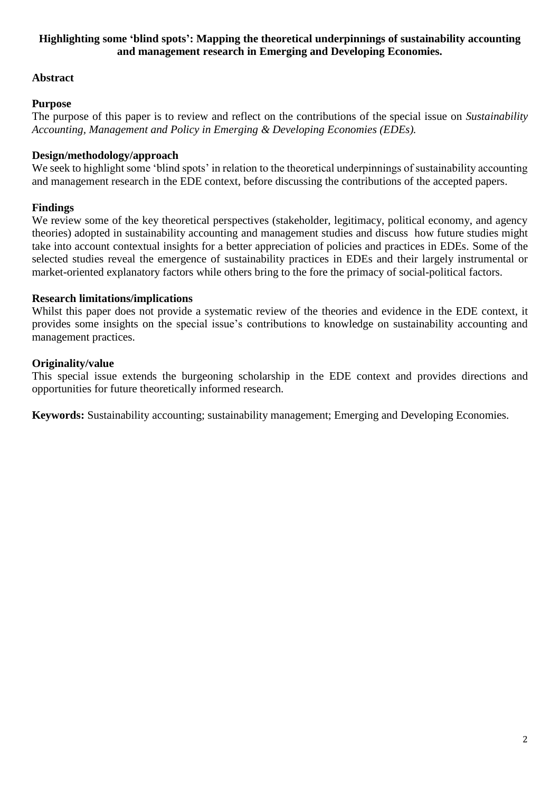## **Highlighting some 'blind spots': Mapping the theoretical underpinnings of sustainability accounting and management research in Emerging and Developing Economies.**

## **Abstract**

## **Purpose**

The purpose of this paper is to review and reflect on the contributions of the special issue on *Sustainability Accounting, Management and Policy in Emerging & Developing Economies (EDEs).*

#### **Design/methodology/approach**

We seek to highlight some 'blind spots' in relation to the theoretical underpinnings of sustainability accounting and management research in the EDE context, before discussing the contributions of the accepted papers.

## **Findings**

We review some of the key theoretical perspectives (stakeholder, legitimacy, political economy, and agency theories) adopted in sustainability accounting and management studies and discuss how future studies might take into account contextual insights for a better appreciation of policies and practices in EDEs. Some of the selected studies reveal the emergence of sustainability practices in EDEs and their largely instrumental or market-oriented explanatory factors while others bring to the fore the primacy of social-political factors.

#### **Research limitations/implications**

Whilst this paper does not provide a systematic review of the theories and evidence in the EDE context, it provides some insights on the special issue's contributions to knowledge on sustainability accounting and management practices.

## **Originality/value**

This special issue extends the burgeoning scholarship in the EDE context and provides directions and opportunities for future theoretically informed research.

**Keywords:** Sustainability accounting; sustainability management; Emerging and Developing Economies.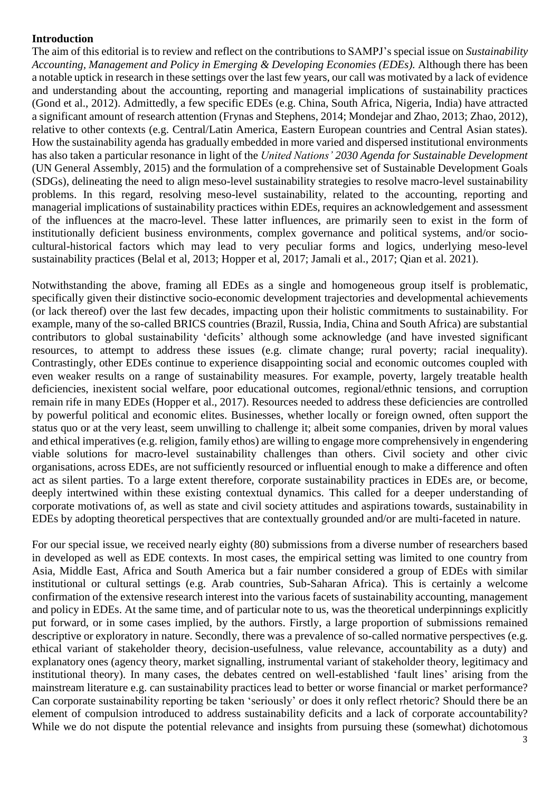### **Introduction**

The aim of this editorial is to review and reflect on the contributions to SAMPJ's special issue on *Sustainability Accounting, Management and Policy in Emerging & Developing Economies (EDEs).* Although there has been a notable uptick in research in these settings over the last few years, our call was motivated by a lack of evidence and understanding about the accounting, reporting and managerial implications of sustainability practices (Gond et al., 2012). Admittedly, a few specific EDEs (e.g. China, South Africa, Nigeria, India) have attracted a significant amount of research attention (Frynas and Stephens, 2014; Mondejar and Zhao, 2013; Zhao, 2012), relative to other contexts (e.g. Central/Latin America, Eastern European countries and Central Asian states). How the sustainability agenda has gradually embedded in more varied and dispersed institutional environments has also taken a particular resonance in light of the *United Nations' 2030 Agenda for Sustainable Development* (UN General Assembly, 2015) and the formulation of a comprehensive set of Sustainable Development Goals (SDGs), delineating the need to align meso-level sustainability strategies to resolve macro-level sustainability problems. In this regard, resolving meso-level sustainability, related to the accounting, reporting and managerial implications of sustainability practices within EDEs, requires an acknowledgement and assessment of the influences at the macro-level. These latter influences, are primarily seen to exist in the form of institutionally deficient business environments, complex governance and political systems, and/or sociocultural-historical factors which may lead to very peculiar forms and logics, underlying meso-level sustainability practices (Belal et al, 2013; Hopper et al, 2017; Jamali et al., 2017; Qian et al. 2021).

Notwithstanding the above, framing all EDEs as a single and homogeneous group itself is problematic, specifically given their distinctive socio-economic development trajectories and developmental achievements (or lack thereof) over the last few decades, impacting upon their holistic commitments to sustainability. For example, many of the so-called BRICS countries (Brazil, Russia, India, China and South Africa) are substantial contributors to global sustainability 'deficits' although some acknowledge (and have invested significant resources, to attempt to address these issues (e.g. climate change; rural poverty; racial inequality). Contrastingly, other EDEs continue to experience disappointing social and economic outcomes coupled with even weaker results on a range of sustainability measures. For example, poverty, largely treatable health deficiencies, inexistent social welfare, poor educational outcomes, regional/ethnic tensions, and corruption remain rife in many EDEs (Hopper et al., 2017). Resources needed to address these deficiencies are controlled by powerful political and economic elites. Businesses, whether locally or foreign owned, often support the status quo or at the very least, seem unwilling to challenge it; albeit some companies, driven by moral values and ethical imperatives (e.g. religion, family ethos) are willing to engage more comprehensively in engendering viable solutions for macro-level sustainability challenges than others. Civil society and other civic organisations, across EDEs, are not sufficiently resourced or influential enough to make a difference and often act as silent parties. To a large extent therefore, corporate sustainability practices in EDEs are, or become, deeply intertwined within these existing contextual dynamics. This called for a deeper understanding of corporate motivations of, as well as state and civil society attitudes and aspirations towards, sustainability in EDEs by adopting theoretical perspectives that are contextually grounded and/or are multi-faceted in nature.

For our special issue, we received nearly eighty (80) submissions from a diverse number of researchers based in developed as well as EDE contexts. In most cases, the empirical setting was limited to one country from Asia, Middle East, Africa and South America but a fair number considered a group of EDEs with similar institutional or cultural settings (e.g. Arab countries, Sub-Saharan Africa). This is certainly a welcome confirmation of the extensive research interest into the various facets of sustainability accounting, management and policy in EDEs. At the same time, and of particular note to us, was the theoretical underpinnings explicitly put forward, or in some cases implied, by the authors. Firstly, a large proportion of submissions remained descriptive or exploratory in nature. Secondly, there was a prevalence of so-called normative perspectives (e.g. ethical variant of stakeholder theory, decision-usefulness, value relevance, accountability as a duty) and explanatory ones (agency theory, market signalling, instrumental variant of stakeholder theory, legitimacy and institutional theory). In many cases, the debates centred on well-established 'fault lines' arising from the mainstream literature e.g. can sustainability practices lead to better or worse financial or market performance? Can corporate sustainability reporting be taken 'seriously' or does it only reflect rhetoric? Should there be an element of compulsion introduced to address sustainability deficits and a lack of corporate accountability? While we do not dispute the potential relevance and insights from pursuing these (somewhat) dichotomous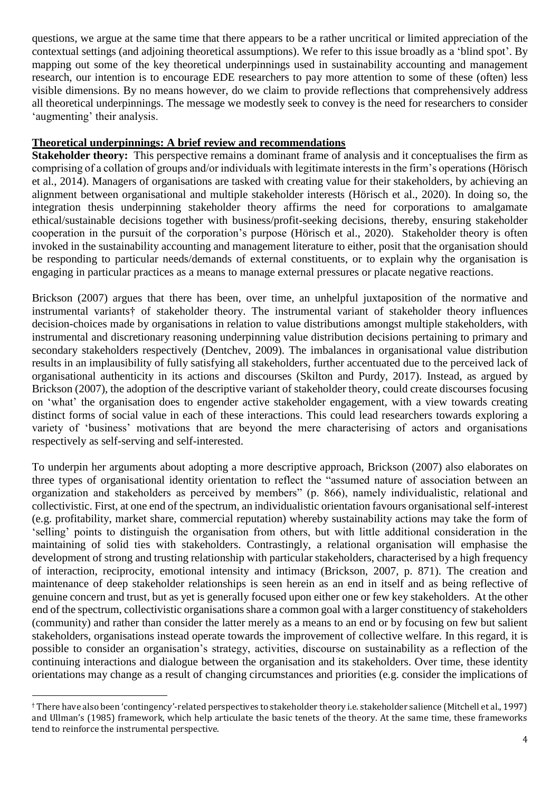questions, we argue at the same time that there appears to be a rather uncritical or limited appreciation of the contextual settings (and adjoining theoretical assumptions). We refer to this issue broadly as a 'blind spot'. By mapping out some of the key theoretical underpinnings used in sustainability accounting and management research, our intention is to encourage EDE researchers to pay more attention to some of these (often) less visible dimensions. By no means however, do we claim to provide reflections that comprehensively address all theoretical underpinnings. The message we modestly seek to convey is the need for researchers to consider 'augmenting' their analysis.

#### **Theoretical underpinnings: A brief review and recommendations**

**Stakeholder theory:** This perspective remains a dominant frame of analysis and it conceptualises the firm as comprising of a collation of groups and/or individuals with legitimate interests in the firm's operations (Hörisch et al., 2014). Managers of organisations are tasked with creating value for their stakeholders, by achieving an alignment between organisational and multiple stakeholder interests (Hörisch et al., 2020). In doing so, the integration thesis underpinning stakeholder theory affirms the need for corporations to amalgamate ethical/sustainable decisions together with business/profit-seeking decisions, thereby, ensuring stakeholder cooperation in the pursuit of the corporation's purpose (Hörisch et al., 2020). Stakeholder theory is often invoked in the sustainability accounting and management literature to either, posit that the organisation should be responding to particular needs/demands of external constituents, or to explain why the organisation is engaging in particular practices as a means to manage external pressures or placate negative reactions.

Brickson (2007) argues that there has been, over time, an unhelpful juxtaposition of the normative and instrumental variants† of stakeholder theory. The instrumental variant of stakeholder theory influences decision-choices made by organisations in relation to value distributions amongst multiple stakeholders, with instrumental and discretionary reasoning underpinning value distribution decisions pertaining to primary and secondary stakeholders respectively (Dentchev, 2009). The imbalances in organisational value distribution results in an implausibility of fully satisfying all stakeholders, further accentuated due to the perceived lack of organisational authenticity in its actions and discourses (Skilton and Purdy, 2017). Instead, as argued by Brickson (2007), the adoption of the descriptive variant of stakeholder theory, could create discourses focusing on 'what' the organisation does to engender active stakeholder engagement, with a view towards creating distinct forms of social value in each of these interactions. This could lead researchers towards exploring a variety of 'business' motivations that are beyond the mere characterising of actors and organisations respectively as self-serving and self-interested.

To underpin her arguments about adopting a more descriptive approach, Brickson (2007) also elaborates on three types of organisational identity orientation to reflect the "assumed nature of association between an organization and stakeholders as perceived by members" (p. 866), namely individualistic, relational and collectivistic. First, at one end of the spectrum, an individualistic orientation favours organisational self-interest (e.g. profitability, market share, commercial reputation) whereby sustainability actions may take the form of 'selling' points to distinguish the organisation from others, but with little additional consideration in the maintaining of solid ties with stakeholders. Contrastingly, a relational organisation will emphasise the development of strong and trusting relationship with particular stakeholders, characterised by a high frequency of interaction, reciprocity, emotional intensity and intimacy (Brickson, 2007, p. 871). The creation and maintenance of deep stakeholder relationships is seen herein as an end in itself and as being reflective of genuine concern and trust, but as yet is generally focused upon either one or few key stakeholders. At the other end of the spectrum, collectivistic organisations share a common goal with a larger constituency of stakeholders (community) and rather than consider the latter merely as a means to an end or by focusing on few but salient stakeholders, organisations instead operate towards the improvement of collective welfare. In this regard, it is possible to consider an organisation's strategy, activities, discourse on sustainability as a reflection of the continuing interactions and dialogue between the organisation and its stakeholders. Over time, these identity orientations may change as a result of changing circumstances and priorities (e.g. consider the implications of

 $\overline{a}$ 

<sup>†</sup> There have also been 'contingency'-related perspectives to stakeholder theory i.e. stakeholder salience (Mitchell et al., 1997) and Ullman's (1985) framework, which help articulate the basic tenets of the theory. At the same time, these frameworks tend to reinforce the instrumental perspective.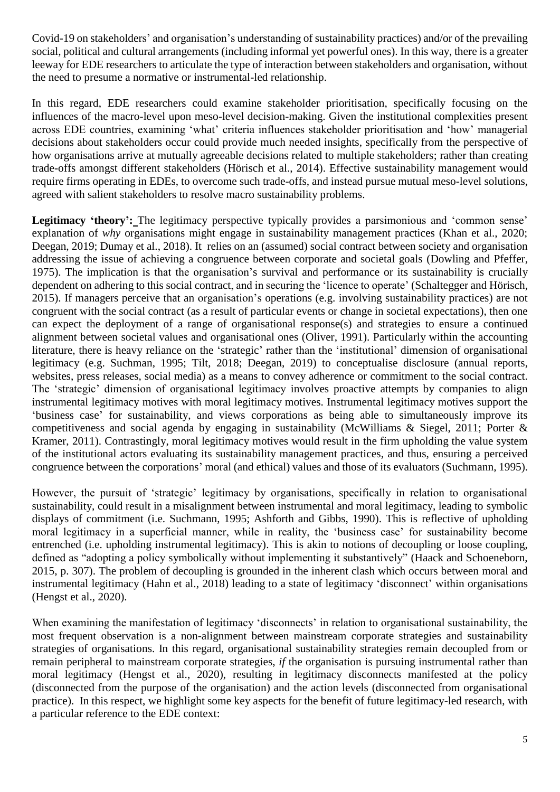Covid-19 on stakeholders' and organisation's understanding of sustainability practices) and/or of the prevailing social, political and cultural arrangements (including informal yet powerful ones). In this way, there is a greater leeway for EDE researchers to articulate the type of interaction between stakeholders and organisation, without the need to presume a normative or instrumental-led relationship.

In this regard, EDE researchers could examine stakeholder prioritisation, specifically focusing on the influences of the macro-level upon meso-level decision-making. Given the institutional complexities present across EDE countries, examining 'what' criteria influences stakeholder prioritisation and 'how' managerial decisions about stakeholders occur could provide much needed insights, specifically from the perspective of how organisations arrive at mutually agreeable decisions related to multiple stakeholders; rather than creating trade-offs amongst different stakeholders (Hörisch et al., 2014). Effective sustainability management would require firms operating in EDEs, to overcome such trade-offs, and instead pursue mutual meso-level solutions, agreed with salient stakeholders to resolve macro sustainability problems.

**Legitimacy 'theory':** The legitimacy perspective typically provides a parsimonious and 'common sense' explanation of *why* organisations might engage in sustainability management practices (Khan et al., 2020; Deegan, 2019; Dumay et al., 2018). It relies on an (assumed) social contract between society and organisation addressing the issue of achieving a congruence between corporate and societal goals (Dowling and Pfeffer, 1975). The implication is that the organisation's survival and performance or its sustainability is crucially dependent on adhering to this social contract, and in securing the 'licence to operate' (Schaltegger and Hörisch, 2015). If managers perceive that an organisation's operations (e.g. involving sustainability practices) are not congruent with the social contract (as a result of particular events or change in societal expectations), then one can expect the deployment of a range of organisational response(s) and strategies to ensure a continued alignment between societal values and organisational ones (Oliver, 1991). Particularly within the accounting literature, there is heavy reliance on the 'strategic' rather than the 'institutional' dimension of organisational legitimacy (e.g. Suchman, 1995; Tilt, 2018; Deegan, 2019) to conceptualise disclosure (annual reports, websites, press releases, social media) as a means to convey adherence or commitment to the social contract. The 'strategic' dimension of organisational legitimacy involves proactive attempts by companies to align instrumental legitimacy motives with moral legitimacy motives. Instrumental legitimacy motives support the 'business case' for sustainability, and views corporations as being able to simultaneously improve its competitiveness and social agenda by engaging in sustainability (McWilliams & Siegel, 2011; Porter & Kramer, 2011). Contrastingly, moral legitimacy motives would result in the firm upholding the value system of the institutional actors evaluating its sustainability management practices, and thus, ensuring a perceived congruence between the corporations' moral (and ethical) values and those of its evaluators (Suchmann, 1995).

However, the pursuit of 'strategic' legitimacy by organisations, specifically in relation to organisational sustainability, could result in a misalignment between instrumental and moral legitimacy, leading to symbolic displays of commitment (i.e. Suchmann, 1995; Ashforth and Gibbs, 1990). This is reflective of upholding moral legitimacy in a superficial manner, while in reality, the 'business case' for sustainability become entrenched (i.e. upholding instrumental legitimacy). This is akin to notions of decoupling or loose coupling, defined as "adopting a policy symbolically without implementing it substantively" (Haack and Schoeneborn, 2015, p. 307). The problem of decoupling is grounded in the inherent clash which occurs between moral and instrumental legitimacy (Hahn et al., 2018) leading to a state of legitimacy 'disconnect' within organisations (Hengst et al., 2020).

When examining the manifestation of legitimacy 'disconnects' in relation to organisational sustainability, the most frequent observation is a non-alignment between mainstream corporate strategies and sustainability strategies of organisations. In this regard, organisational sustainability strategies remain decoupled from or remain peripheral to mainstream corporate strategies, *if* the organisation is pursuing instrumental rather than moral legitimacy (Hengst et al., 2020), resulting in legitimacy disconnects manifested at the policy (disconnected from the purpose of the organisation) and the action levels (disconnected from organisational practice). In this respect, we highlight some key aspects for the benefit of future legitimacy-led research, with a particular reference to the EDE context: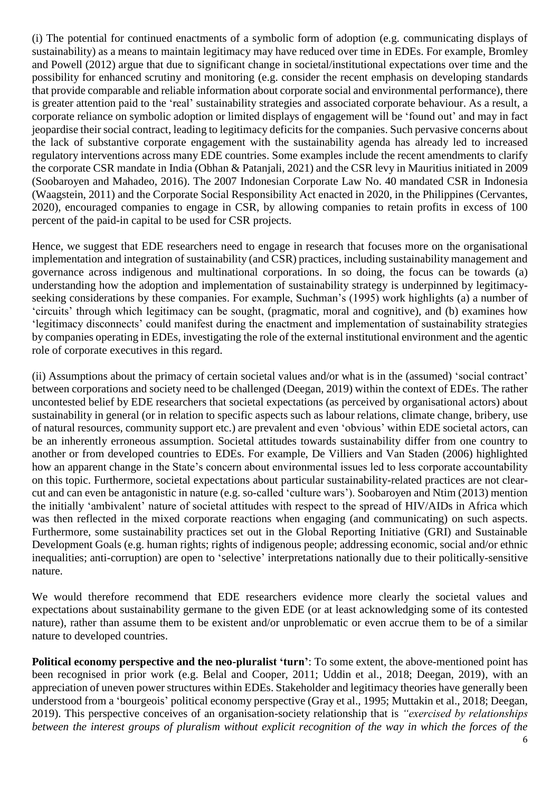(i) The potential for continued enactments of a symbolic form of adoption (e.g. communicating displays of sustainability) as a means to maintain legitimacy may have reduced over time in EDEs. For example, Bromley and Powell (2012) argue that due to significant change in societal/institutional expectations over time and the possibility for enhanced scrutiny and monitoring (e.g. consider the recent emphasis on developing standards that provide comparable and reliable information about corporate social and environmental performance), there is greater attention paid to the 'real' sustainability strategies and associated corporate behaviour. As a result, a corporate reliance on symbolic adoption or limited displays of engagement will be 'found out' and may in fact jeopardise their social contract, leading to legitimacy deficits for the companies. Such pervasive concerns about the lack of substantive corporate engagement with the sustainability agenda has already led to increased regulatory interventions across many EDE countries. Some examples include the recent amendments to clarify the corporate CSR mandate in India (Obhan & Patanjali, 2021) and the CSR levy in Mauritius initiated in 2009 (Soobaroyen and Mahadeo, 2016). The 2007 Indonesian Corporate Law No. 40 mandated CSR in Indonesia (Waagstein, 2011) and the Corporate Social Responsibility Act enacted in 2020, in the Philippines (Cervantes, 2020), encouraged companies to engage in CSR, by allowing companies to retain profits in excess of 100 percent of the paid-in capital to be used for CSR projects.

Hence, we suggest that EDE researchers need to engage in research that focuses more on the organisational implementation and integration of sustainability (and CSR) practices, including sustainability management and governance across indigenous and multinational corporations. In so doing, the focus can be towards (a) understanding how the adoption and implementation of sustainability strategy is underpinned by legitimacyseeking considerations by these companies. For example, Suchman's (1995) work highlights (a) a number of 'circuits' through which legitimacy can be sought, (pragmatic, moral and cognitive), and (b) examines how 'legitimacy disconnects' could manifest during the enactment and implementation of sustainability strategies by companies operating in EDEs, investigating the role of the external institutional environment and the agentic role of corporate executives in this regard.

(ii) Assumptions about the primacy of certain societal values and/or what is in the (assumed) 'social contract' between corporations and society need to be challenged (Deegan, 2019) within the context of EDEs. The rather uncontested belief by EDE researchers that societal expectations (as perceived by organisational actors) about sustainability in general (or in relation to specific aspects such as labour relations, climate change, bribery, use of natural resources, community support etc.) are prevalent and even 'obvious' within EDE societal actors, can be an inherently erroneous assumption. Societal attitudes towards sustainability differ from one country to another or from developed countries to EDEs. For example, De Villiers and Van Staden (2006) highlighted how an apparent change in the State's concern about environmental issues led to less corporate accountability on this topic. Furthermore, societal expectations about particular sustainability-related practices are not clearcut and can even be antagonistic in nature (e.g. so-called 'culture wars'). Soobaroyen and Ntim (2013) mention the initially 'ambivalent' nature of societal attitudes with respect to the spread of HIV/AIDs in Africa which was then reflected in the mixed corporate reactions when engaging (and communicating) on such aspects. Furthermore, some sustainability practices set out in the Global Reporting Initiative (GRI) and Sustainable Development Goals (e.g. human rights; rights of indigenous people; addressing economic, social and/or ethnic inequalities; anti-corruption) are open to 'selective' interpretations nationally due to their politically-sensitive nature.

We would therefore recommend that EDE researchers evidence more clearly the societal values and expectations about sustainability germane to the given EDE (or at least acknowledging some of its contested nature), rather than assume them to be existent and/or unproblematic or even accrue them to be of a similar nature to developed countries.

**Political economy perspective and the neo-pluralist 'turn'**: To some extent, the above-mentioned point has been recognised in prior work (e.g. Belal and Cooper, 2011; Uddin et al., 2018; Deegan, 2019), with an appreciation of uneven power structures within EDEs. Stakeholder and legitimacy theories have generally been understood from a 'bourgeois' political economy perspective (Gray et al., 1995; Muttakin et al., 2018; Deegan, 2019). This perspective conceives of an organisation-society relationship that is *"exercised by relationships between the interest groups of pluralism without explicit recognition of the way in which the forces of the*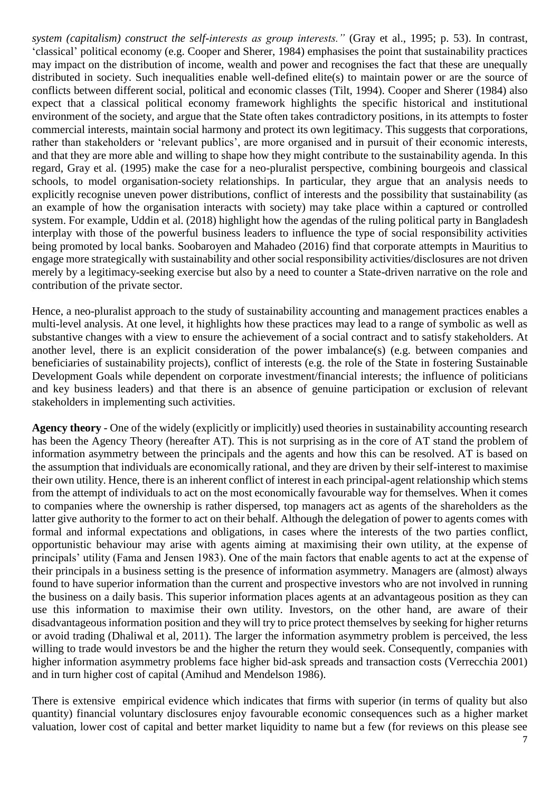*system (capitalism) construct the self-interests as group interests."* (Gray et al., 1995; p. 53). In contrast, 'classical' political economy (e.g. Cooper and Sherer, 1984) emphasises the point that sustainability practices may impact on the distribution of income, wealth and power and recognises the fact that these are unequally distributed in society. Such inequalities enable well-defined elite(s) to maintain power or are the source of conflicts between different social, political and economic classes (Tilt, 1994). Cooper and Sherer (1984) also expect that a classical political economy framework highlights the specific historical and institutional environment of the society, and argue that the State often takes contradictory positions, in its attempts to foster commercial interests, maintain social harmony and protect its own legitimacy. This suggests that corporations, rather than stakeholders or 'relevant publics', are more organised and in pursuit of their economic interests, and that they are more able and willing to shape how they might contribute to the sustainability agenda. In this regard, Gray et al. (1995) make the case for a neo-pluralist perspective, combining bourgeois and classical schools, to model organisation-society relationships. In particular, they argue that an analysis needs to explicitly recognise uneven power distributions, conflict of interests and the possibility that sustainability (as an example of how the organisation interacts with society) may take place within a captured or controlled system. For example, Uddin et al. (2018) highlight how the agendas of the ruling political party in Bangladesh interplay with those of the powerful business leaders to influence the type of social responsibility activities being promoted by local banks. Soobaroyen and Mahadeo (2016) find that corporate attempts in Mauritius to engage more strategically with sustainability and other social responsibility activities/disclosures are not driven merely by a legitimacy-seeking exercise but also by a need to counter a State-driven narrative on the role and contribution of the private sector.

Hence, a neo-pluralist approach to the study of sustainability accounting and management practices enables a multi-level analysis. At one level, it highlights how these practices may lead to a range of symbolic as well as substantive changes with a view to ensure the achievement of a social contract and to satisfy stakeholders. At another level, there is an explicit consideration of the power imbalance(s) (e.g. between companies and beneficiaries of sustainability projects), conflict of interests (e.g. the role of the State in fostering Sustainable Development Goals while dependent on corporate investment/financial interests; the influence of politicians and key business leaders) and that there is an absence of genuine participation or exclusion of relevant stakeholders in implementing such activities.

**Agency theory** - One of the widely (explicitly or implicitly) used theories in sustainability accounting research has been the Agency Theory (hereafter AT). This is not surprising as in the core of AT stand the problem of information asymmetry between the principals and the agents and how this can be resolved. AT is based on the assumption that individuals are economically rational, and they are driven by their self-interest to maximise their own utility. Hence, there is an inherent conflict of interest in each principal-agent relationship which stems from the attempt of individuals to act on the most economically favourable way for themselves. When it comes to companies where the ownership is rather dispersed, top managers act as agents of the shareholders as the latter give authority to the former to act on their behalf. Although the delegation of power to agents comes with formal and informal expectations and obligations, in cases where the interests of the two parties conflict, opportunistic behaviour may arise with agents aiming at maximising their own utility, at the expense of principals' utility (Fama and Jensen 1983). One of the main factors that enable agents to act at the expense of their principals in a business setting is the presence of information asymmetry. Managers are (almost) always found to have superior information than the current and prospective investors who are not involved in running the business on a daily basis. This superior information places agents at an advantageous position as they can use this information to maximise their own utility. Investors, on the other hand, are aware of their disadvantageous information position and they will try to price protect themselves by seeking for higher returns or avoid trading (Dhaliwal et al, 2011). The larger the information asymmetry problem is perceived, the less willing to trade would investors be and the higher the return they would seek. Consequently, companies with higher information asymmetry problems face higher bid-ask spreads and transaction costs (Verrecchia 2001) and in turn higher cost of capital (Amihud and Mendelson 1986).

There is extensive empirical evidence which indicates that firms with superior (in terms of quality but also quantity) financial voluntary disclosures enjoy favourable economic consequences such as a higher market valuation, lower cost of capital and better market liquidity to name but a few (for reviews on this please see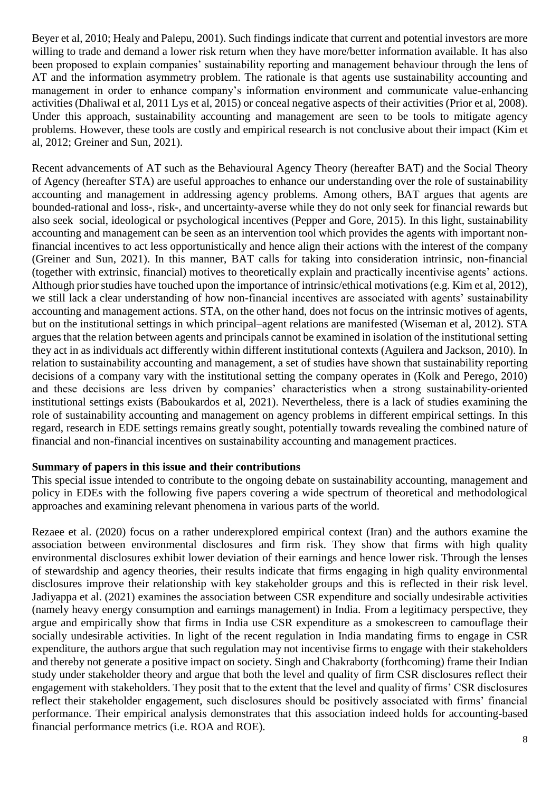Beyer et al, 2010; Healy and Palepu, 2001). Such findings indicate that current and potential investors are more willing to trade and demand a lower risk return when they have more/better information available. It has also been proposed to explain companies' sustainability reporting and management behaviour through the lens of AT and the information asymmetry problem. The rationale is that agents use sustainability accounting and management in order to enhance company's information environment and communicate value-enhancing activities (Dhaliwal et al, 2011 Lys et al, 2015) or conceal negative aspects of their activities (Prior et al, 2008). Under this approach, sustainability accounting and management are seen to be tools to mitigate agency problems. However, these tools are costly and empirical research is not conclusive about their impact (Kim et al, 2012; Greiner and Sun, 2021).

Recent advancements of AT such as the Behavioural Agency Theory (hereafter BAT) and the Social Theory of Agency (hereafter STA) are useful approaches to enhance our understanding over the role of sustainability accounting and management in addressing agency problems. Among others, BAT argues that agents are bounded-rational and loss-, risk-, and uncertainty-averse while they do not only seek for financial rewards but also seek social, ideological or psychological incentives (Pepper and Gore, 2015). In this light, sustainability accounting and management can be seen as an intervention tool which provides the agents with important nonfinancial incentives to act less opportunistically and hence align their actions with the interest of the company (Greiner and Sun, 2021). In this manner, BAT calls for taking into consideration intrinsic, non-financial (together with extrinsic, financial) motives to theoretically explain and practically incentivise agents' actions. Although prior studies have touched upon the importance of intrinsic/ethical motivations (e.g. Kim et al, 2012), we still lack a clear understanding of how non-financial incentives are associated with agents' sustainability accounting and management actions. STA, on the other hand, does not focus on the intrinsic motives of agents, but on the institutional settings in which principal–agent relations are manifested (Wiseman et al, 2012). STA argues that the relation between agents and principals cannot be examined in isolation of the institutional setting they act in as individuals act differently within different institutional contexts (Aguilera and Jackson, 2010). In relation to sustainability accounting and management, a set of studies have shown that sustainability reporting decisions of a company vary with the institutional setting the company operates in (Kolk and Perego, 2010) and these decisions are less driven by companies' characteristics when a strong sustainability-oriented institutional settings exists (Baboukardos et al, 2021). Nevertheless, there is a lack of studies examining the role of sustainability accounting and management on agency problems in different empirical settings. In this regard, research in EDE settings remains greatly sought, potentially towards revealing the combined nature of financial and non-financial incentives on sustainability accounting and management practices.

#### **Summary of papers in this issue and their contributions**

This special issue intended to contribute to the ongoing debate on sustainability accounting, management and policy in EDEs with the following five papers covering a wide spectrum of theoretical and methodological approaches and examining relevant phenomena in various parts of the world.

Rezaee et al. (2020) focus on a rather underexplored empirical context (Iran) and the authors examine the association between environmental disclosures and firm risk. They show that firms with high quality environmental disclosures exhibit lower deviation of their earnings and hence lower risk. Through the lenses of stewardship and agency theories, their results indicate that firms engaging in high quality environmental disclosures improve their relationship with key stakeholder groups and this is reflected in their risk level. [Jadiyappa](https://www.emerald.com/insight/search?q=Nemiraja%20Jadiyappa) et al. (2021) examines the association between CSR expenditure and socially undesirable activities (namely heavy energy consumption and earnings management) in India. From a legitimacy perspective, they argue and empirically show that firms in India use CSR expenditure as a smokescreen to camouflage their socially undesirable activities. In light of the recent regulation in India mandating firms to engage in CSR expenditure, the authors argue that such regulation may not incentivise firms to engage with their stakeholders and thereby not generate a positive impact on society. Singh and Chakraborty (forthcoming) frame their Indian study under stakeholder theory and argue that both the level and quality of firm CSR disclosures reflect their engagement with stakeholders. They posit that to the extent that the level and quality of firms' CSR disclosures reflect their stakeholder engagement, such disclosures should be positively associated with firms' financial performance. Their empirical analysis demonstrates that this association indeed holds for accounting-based financial performance metrics (i.e. ROA and ROE).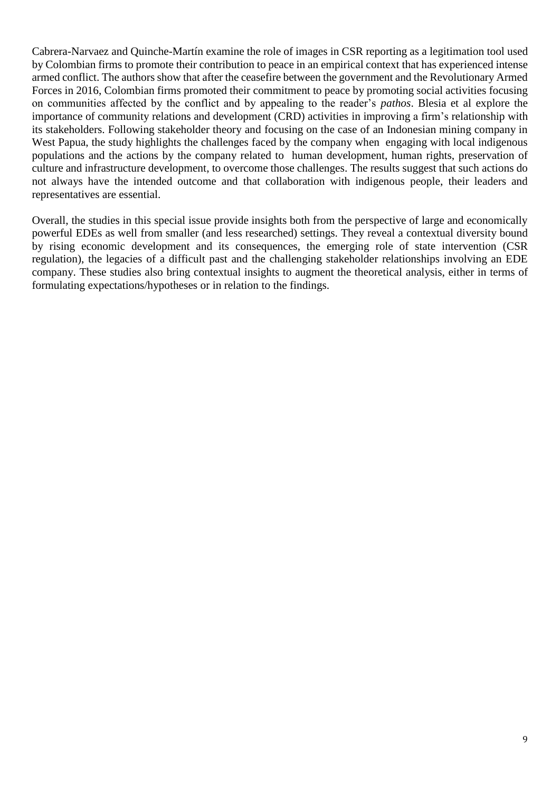Cabrera-Narvaez and Quinche-Martín examine the role of images in CSR reporting as a legitimation tool used by Colombian firms to promote their contribution to peace in an empirical context that has experienced intense armed conflict. The authors show that after the ceasefire between the government and the Revolutionary Armed Forces in 2016, Colombian firms promoted their commitment to peace by promoting social activities focusing on communities affected by the conflict and by appealing to the reader's *pathos*. Blesia et al explore the importance of community relations and development (CRD) activities in improving a firm's relationship with its stakeholders. Following stakeholder theory and focusing on the case of an Indonesian mining company in West Papua, the study highlights the challenges faced by the company when engaging with local indigenous populations and the actions by the company related to human development, human rights, preservation of culture and infrastructure development, to overcome those challenges. The results suggest that such actions do not always have the intended outcome and that collaboration with indigenous people, their leaders and representatives are essential.

Overall, the studies in this special issue provide insights both from the perspective of large and economically powerful EDEs as well from smaller (and less researched) settings. They reveal a contextual diversity bound by rising economic development and its consequences, the emerging role of state intervention (CSR regulation), the legacies of a difficult past and the challenging stakeholder relationships involving an EDE company. These studies also bring contextual insights to augment the theoretical analysis, either in terms of formulating expectations/hypotheses or in relation to the findings.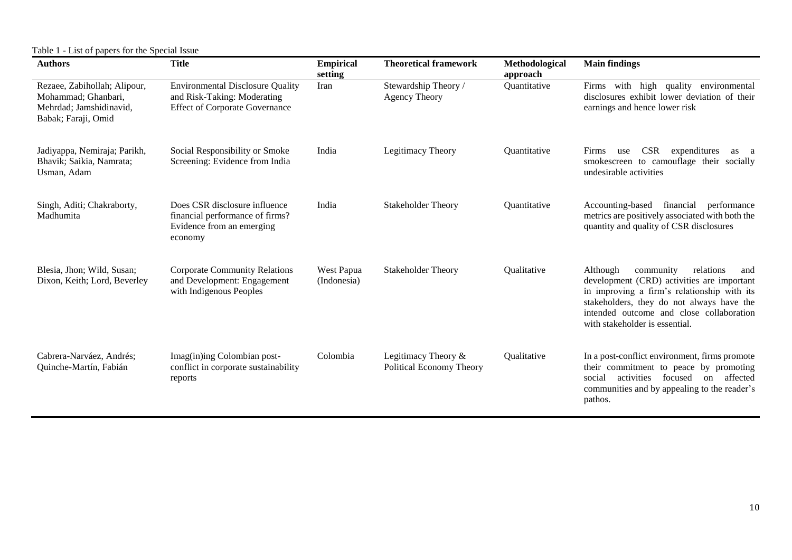Table 1 - List of papers for the Special Issue

| <b>Authors</b>                                                                                        | <b>Title</b>                                                                                                    | <b>Empirical</b><br>setting | <b>Theoretical framework</b>                    | Methodological<br>approach | <b>Main findings</b>                                                                                                                                                                                                                                              |
|-------------------------------------------------------------------------------------------------------|-----------------------------------------------------------------------------------------------------------------|-----------------------------|-------------------------------------------------|----------------------------|-------------------------------------------------------------------------------------------------------------------------------------------------------------------------------------------------------------------------------------------------------------------|
| Rezaee, Zabihollah; Alipour,<br>Mohammad; Ghanbari,<br>Mehrdad; Jamshidinavid,<br>Babak; Faraji, Omid | <b>Environmental Disclosure Quality</b><br>and Risk-Taking: Moderating<br><b>Effect of Corporate Governance</b> | Iran                        | Stewardship Theory /<br>Agency Theory           | Quantitative               | high<br>Firms with<br>quality<br>environmental<br>disclosures exhibit lower deviation of their<br>earnings and hence lower risk                                                                                                                                   |
| Jadiyappa, Nemiraja; Parikh,<br>Bhavik; Saikia, Namrata;<br>Usman, Adam                               | Social Responsibility or Smoke<br>Screening: Evidence from India                                                | India                       | Legitimacy Theory                               | Quantitative               | <b>CSR</b><br>expenditures<br>Firms<br>use<br>as a<br>smokescreen to camouflage their socially<br>undesirable activities                                                                                                                                          |
| Singh, Aditi; Chakraborty,<br>Madhumita                                                               | Does CSR disclosure influence<br>financial performance of firms?<br>Evidence from an emerging<br>economy        | India                       | <b>Stakeholder Theory</b>                       | Quantitative               | Accounting-based<br>financial<br>performance<br>metrics are positively associated with both the<br>quantity and quality of CSR disclosures                                                                                                                        |
| Blesia, Jhon; Wild, Susan;<br>Dixon, Keith; Lord, Beverley                                            | <b>Corporate Community Relations</b><br>and Development: Engagement<br>with Indigenous Peoples                  | West Papua<br>(Indonesia)   | <b>Stakeholder Theory</b>                       | Qualitative                | relations<br>Although<br>community<br>and<br>development (CRD) activities are important<br>in improving a firm's relationship with its<br>stakeholders, they do not always have the<br>intended outcome and close collaboration<br>with stakeholder is essential. |
| Cabrera-Narváez, Andrés;<br>Quinche-Martín, Fabián                                                    | Imag(in)ing Colombian post-<br>conflict in corporate sustainability<br>reports                                  | Colombia                    | Legitimacy Theory &<br>Political Economy Theory | Qualitative                | In a post-conflict environment, firms promote<br>their commitment to peace by promoting<br>activities focused<br>affected<br>social<br>$\alpha$<br>communities and by appealing to the reader's<br>pathos.                                                        |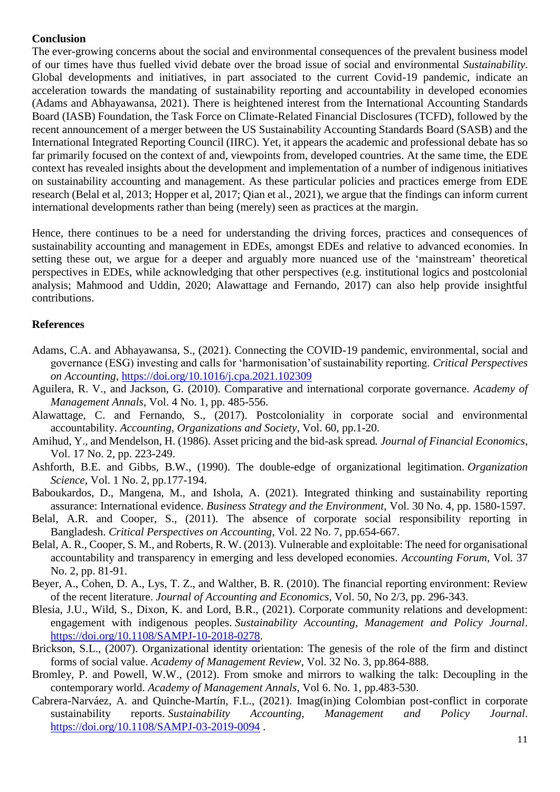#### **Conclusion**

The ever-growing concerns about the social and environmental consequences of the prevalent business model of our times have thus fuelled vivid debate over the broad issue of social and environmental *Sustainability*. Global developments and initiatives, in part associated to the current Covid-19 pandemic, indicate an acceleration towards the mandating of sustainability reporting and accountability in developed economies (Adams and Abhayawansa, 2021). There is heightened interest from the International Accounting Standards Board (IASB) Foundation, the Task Force on Climate-Related Financial Disclosures (TCFD), followed by the recent announcement of a merger between the US Sustainability Accounting Standards Board (SASB) and the International Integrated Reporting Council (IIRC). Yet, it appears the academic and professional debate has so far primarily focused on the context of and, viewpoints from, developed countries. At the same time, the EDE context has revealed insights about the development and implementation of a number of indigenous initiatives on sustainability accounting and management. As these particular policies and practices emerge from EDE research (Belal et al, 2013; Hopper et al, 2017; Qian et al., 2021), we argue that the findings can inform current international developments rather than being (merely) seen as practices at the margin.

Hence, there continues to be a need for understanding the driving forces, practices and consequences of sustainability accounting and management in EDEs, amongst EDEs and relative to advanced economies. In setting these out, we argue for a deeper and arguably more nuanced use of the 'mainstream' theoretical perspectives in EDEs, while acknowledging that other perspectives (e.g. institutional logics and postcolonial analysis; Mahmood and Uddin, 2020; Alawattage and Fernando, 2017) can also help provide insightful contributions.

#### **References**

- Adams, C.A. and Abhayawansa, S., (2021). Connecting the COVID-19 pandemic, environmental, social and governance (ESG) investing and calls for 'harmonisation'of sustainability reporting. *Critical Perspectives on Accounting*,<https://doi.org/10.1016/j.cpa.2021.102309>
- Aguilera, R. V., and Jackson, G. (2010). Comparative and international corporate governance. *Academy of Management Annals*, Vol. 4 No. 1, pp. 485-556.
- Alawattage, C. and Fernando, S., (2017). Postcoloniality in corporate social and environmental accountability. *Accounting, Organizations and Society*, Vol. 60, pp.1-20.
- Amihud, Y., and Mendelson, H. (1986). Asset pricing and the bid-ask spread*. Journal of Financial Economics*, Vol. 17 No. 2, pp. 223-249.
- Ashforth, B.E. and Gibbs, B.W., (1990). The double-edge of organizational legitimation. *Organization Science*, Vol. 1 No. 2, pp.177-194.
- Baboukardos, D., Mangena, M., and Ishola, A. (2021). Integrated thinking and sustainability reporting assurance: International evidence. *Business Strategy and the Environment*, Vol. 30 No. 4, pp. 1580-1597.
- Belal, A.R. and Cooper, S., (2011). The absence of corporate social responsibility reporting in Bangladesh. *Critical Perspectives on Accounting*, Vol. 22 No. 7, pp.654-667.
- Belal, A. R., Cooper, S. M., and Roberts, R. W. (2013). Vulnerable and exploitable: The need for organisational accountability and transparency in emerging and less developed economies. *Accounting Forum*, Vol. 37 No. 2, pp. 81-91.
- Beyer, A., Cohen, D. A., Lys, T. Z., and Walther, B. R. (2010). The financial reporting environment: Review of the recent literature. *Journal of Accounting and Economics*, Vol. 50, No 2/3, pp. 296-343.
- Blesia, J.U., Wild, S., Dixon, K. and Lord, B.R., (2021). Corporate community relations and development: engagement with indigenous peoples. *Sustainability Accounting, Management and Policy Journal*. [https://doi.org/10.1108/SAMPJ-10-2018-0278.](https://doi.org/10.1108/SAMPJ-10-2018-0278)
- Brickson, S.L., (2007). Organizational identity orientation: The genesis of the role of the firm and distinct forms of social value. *Academy of Management Review*, Vol. 32 No. 3, pp.864-888.
- Bromley, P. and Powell, W.W., (2012). From smoke and mirrors to walking the talk: Decoupling in the contemporary world. *Academy of Management Annals*, Vol 6. No. 1, pp.483-530.
- Cabrera-Narváez, A. and Quinche-Martín, F.L., (2021). Imag(in)ing Colombian post-conflict in corporate sustainability reports. *Sustainability Accounting, Management and Policy Journal*. <https://doi.org/10.1108/SAMPJ-03-2019-0094> .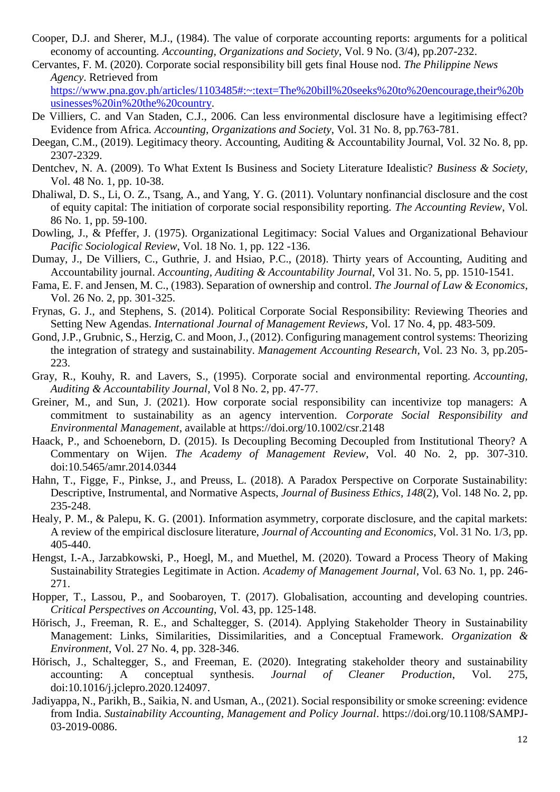- Cooper, D.J. and Sherer, M.J., (1984). The value of corporate accounting reports: arguments for a political economy of accounting. *Accounting, Organizations and Society*, Vol. 9 No. (3/4), pp.207-232.
- Cervantes, F. M. (2020). Corporate social responsibility bill gets final House nod. *The Philippine News Agency*. Retrieved from

[https://www.pna.gov.ph/articles/1103485#:~:text=The%20bill%20seeks%20to%20encourage,their%20b](https://www.pna.gov.ph/articles/1103485#:~:text=The%20bill%20seeks%20to%20encourage,their%20businesses%20in%20the%20country) [usinesses%20in%20the%20country.](https://www.pna.gov.ph/articles/1103485#:~:text=The%20bill%20seeks%20to%20encourage,their%20businesses%20in%20the%20country)

- De Villiers, C. and Van Staden, C.J., 2006. Can less environmental disclosure have a legitimising effect? Evidence from Africa*. Accounting, Organizations and Society*, Vol. 31 No. 8, pp.763-781.
- Deegan, C.M., (2019). Legitimacy theory. Accounting, Auditing & Accountability Journal, Vol. 32 No. 8, pp. 2307-2329.
- Dentchev, N. A. (2009). To What Extent Is Business and Society Literature Idealistic? *Business & Society,*  Vol. 48 No. 1, pp. 10-38.
- Dhaliwal, D. S., Li, O. Z., Tsang, A., and Yang, Y. G. (2011). Voluntary nonfinancial disclosure and the cost of equity capital: The initiation of corporate social responsibility reporting. *The Accounting Review*, Vol. 86 No. 1, pp. 59-100.
- Dowling, J., & Pfeffer, J. (1975). Organizational Legitimacy: Social Values and Organizational Behaviour *Pacific Sociological Review*, Vol. 18 No. 1, pp. 122 -136.
- Dumay, J., De Villiers, C., Guthrie, J. and Hsiao, P.C., (2018). Thirty years of Accounting, Auditing and Accountability journal. *Accounting, Auditing & Accountability Journal*, Vol 31. No. 5, pp. 1510-1541.
- Fama, E. F. and Jensen, M. C., (1983). Separation of ownership and control. *The Journal of Law & Economics*, Vol. 26 No. 2, pp. 301-325.
- Frynas, G. J., and Stephens, S. (2014). Political Corporate Social Responsibility: Reviewing Theories and Setting New Agendas. *International Journal of Management Reviews,* Vol. 17 No. 4, pp. 483-509.
- Gond, J.P., Grubnic, S., Herzig, C. and Moon, J., (2012). Configuring management control systems: Theorizing the integration of strategy and sustainability. *Management Accounting Research*, Vol. 23 No. 3, pp.205- 223.
- Gray, R., Kouhy, R. and Lavers, S., (1995). Corporate social and environmental reporting. *Accounting, Auditing & Accountability Journal*, Vol 8 No. 2, pp. 47-77.
- Greiner, M., and Sun, J. (2021). How corporate social responsibility can incentivize top managers: A commitment to sustainability as an agency intervention. *Corporate Social Responsibility and Environmental Management*, available at<https://doi.org/10.1002/csr.2148>
- Haack, P., and Schoeneborn, D. (2015). Is Decoupling Becoming Decoupled from Institutional Theory? A Commentary on Wijen. *The Academy of Management Review*, Vol. 40 No. 2, pp. 307-310. doi:10.5465/amr.2014.0344
- Hahn, T., Figge, F., Pinkse, J., and Preuss, L. (2018). A Paradox Perspective on Corporate Sustainability: Descriptive, Instrumental, and Normative Aspects, *Journal of Business Ethics, 148*(2), Vol. 148 No. 2, pp. 235-248.
- Healy, P. M., & Palepu, K. G. (2001). Information asymmetry, corporate disclosure, and the capital markets: A review of the empirical disclosure literature, *Journal of Accounting and Economics*, Vol. 31 No. 1/3, pp. 405-440.
- Hengst, I.-A., Jarzabkowski, P., Hoegl, M., and Muethel, M. (2020). Toward a Process Theory of Making Sustainability Strategies Legitimate in Action. *Academy of Management Journal*, Vol. 63 No. 1, pp. 246- 271.
- Hopper, T., Lassou, P., and Soobaroyen, T. (2017). Globalisation, accounting and developing countries. *Critical Perspectives on Accounting*, Vol. 43, pp. 125-148.
- Hörisch, J., Freeman, R. E., and Schaltegger, S. (2014). Applying Stakeholder Theory in Sustainability Management: Links, Similarities, Dissimilarities, and a Conceptual Framework. *Organization & Environment*, Vol. 27 No. 4, pp. 328-346.
- Hörisch, J., Schaltegger, S., and Freeman, E. (2020). Integrating stakeholder theory and sustainability accounting: A conceptual synthesis. *Journal of Cleaner Production*, Vol. 275, doi:10.1016/j.jclepro.2020.124097.
- Jadiyappa, N., Parikh, B., Saikia, N. and Usman, A., (2021). Social responsibility or smoke screening: evidence from India. *Sustainability Accounting, Management and Policy Journal*. https://doi.org/10.1108/SAMPJ-03-2019-0086.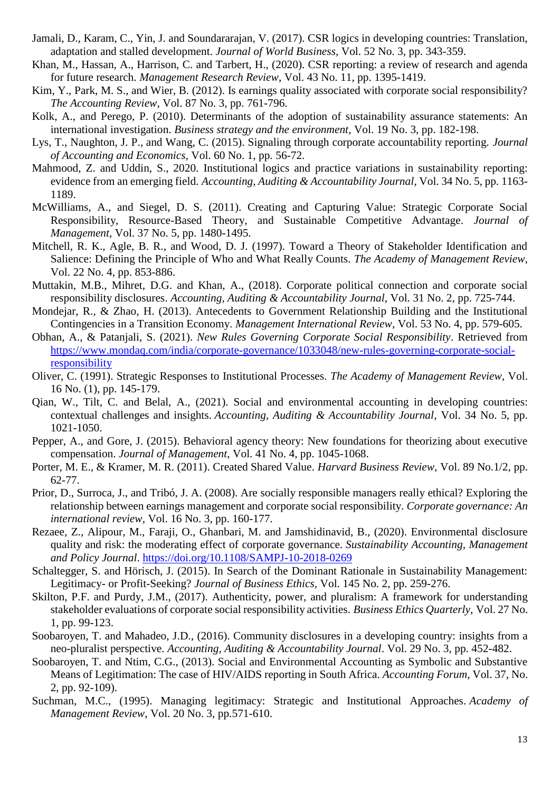- Jamali, D., Karam, C., Yin, J. and Soundararajan, V. (2017). CSR logics in developing countries: Translation, adaptation and stalled development. *Journal of World Business,* Vol. 52 No. 3, pp. 343-359.
- Khan, M., Hassan, A., Harrison, C. and Tarbert, H., (2020). CSR reporting: a review of research and agenda for future research. *Management Research Review*, Vol. 43 No. 11, pp. 1395-1419.
- Kim, Y., Park, M. S., and Wier, B. (2012). Is earnings quality associated with corporate social responsibility? *The Accounting Review*, Vol. 87 No. 3, pp. 761-796.
- Kolk, A., and Perego, P. (2010). Determinants of the adoption of sustainability assurance statements: An international investigation. *Business strategy and the environment*, Vol. 19 No. 3, pp. 182-198.
- Lys, T., Naughton, J. P., and Wang, C. (2015). Signaling through corporate accountability reporting. *Journal of Accounting and Economics*, Vol. 60 No. 1, pp. 56-72.
- Mahmood, Z. and Uddin, S., 2020. Institutional logics and practice variations in sustainability reporting: evidence from an emerging field. *Accounting, Auditing & Accountability Journal*, Vol. 34 No. 5, pp. 1163- 1189.
- McWilliams, A., and Siegel, D. S. (2011). Creating and Capturing Value: Strategic Corporate Social Responsibility, Resource-Based Theory, and Sustainable Competitive Advantage. *Journal of Management,* Vol. 37 No. 5, pp. 1480-1495.
- Mitchell, R. K., Agle, B. R., and Wood, D. J. (1997). Toward a Theory of Stakeholder Identification and Salience: Defining the Principle of Who and What Really Counts. *The Academy of Management Review,*  Vol. 22 No. 4, pp. 853-886.
- Muttakin, M.B., Mihret, D.G. and Khan, A., (2018). Corporate political connection and corporate social responsibility disclosures. *Accounting, Auditing & Accountability Journal*, Vol. 31 No. 2, pp. 725-744.
- Mondejar, R., & Zhao, H. (2013). Antecedents to Government Relationship Building and the Institutional Contingencies in a Transition Economy. *Management International Review*, Vol. 53 No. 4, pp. 579-605.
- Obhan, A., & Patanjali, S. (2021). *New Rules Governing Corporate Social Responsibility*. Retrieved from [https://www.mondaq.com/india/corporate-governance/1033048/new-rules-governing-corporate-social](https://www.mondaq.com/india/corporate-governance/1033048/new-rules-governing-corporate-social-responsibility)[responsibility](https://www.mondaq.com/india/corporate-governance/1033048/new-rules-governing-corporate-social-responsibility)
- Oliver, C. (1991). Strategic Responses to Institutional Processes. *The Academy of Management Review,* Vol. 16 No. (1), pp. 145-179.
- Qian, W., Tilt, C. and Belal, A., (2021). Social and environmental accounting in developing countries: contextual challenges and insights. *Accounting, Auditing & Accountability Journal*, Vol. 34 No. 5, pp. 1021-1050.
- Pepper, A., and Gore, J. (2015). Behavioral agency theory: New foundations for theorizing about executive compensation. *Journal of Management*, Vol. 41 No. 4, pp. 1045-1068.
- Porter, M. E., & Kramer, M. R. (2011). Created Shared Value. *Harvard Business Review,* Vol. 89 No.1/2, pp. 62-77.
- Prior, D., Surroca, J., and Tribó, J. A. (2008). Are socially responsible managers really ethical? Exploring the relationship between earnings management and corporate social responsibility. *Corporate governance: An international review*, Vol. 16 No. 3, pp. 160-177.
- Rezaee, Z., Alipour, M., Faraji, O., Ghanbari, M. and Jamshidinavid, B., (2020). Environmental disclosure quality and risk: the moderating effect of corporate governance. *Sustainability Accounting, Management and Policy Journal*.<https://doi.org/10.1108/SAMPJ-10-2018-0269>
- Schaltegger, S. and Hörisch, J. (2015). In Search of the Dominant Rationale in Sustainability Management: Legitimacy- or Profit-Seeking? *Journal of Business Ethics,* Vol. 145 No. 2, pp. 259-276.
- Skilton, P.F. and Purdy, J.M., (2017). Authenticity, power, and pluralism: A framework for understanding stakeholder evaluations of corporate social responsibility activities. *Business Ethics Quarterly*, Vol. 27 No. 1, pp. 99-123.
- Soobaroyen, T. and Mahadeo, J.D., (2016). Community disclosures in a developing country: insights from a neo-pluralist perspective. *Accounting, Auditing & Accountability Journal*. Vol. 29 No. 3, pp. 452-482.
- Soobaroyen, T. and Ntim, C.G., (2013). Social and Environmental Accounting as Symbolic and Substantive Means of Legitimation: The case of HIV/AIDS reporting in South Africa. *Accounting Forum*, Vol. 37, No. 2, pp. 92-109).
- Suchman, M.C., (1995). Managing legitimacy: Strategic and Institutional Approaches. *Academy of Management Review*, Vol. 20 No. 3, pp.571-610.